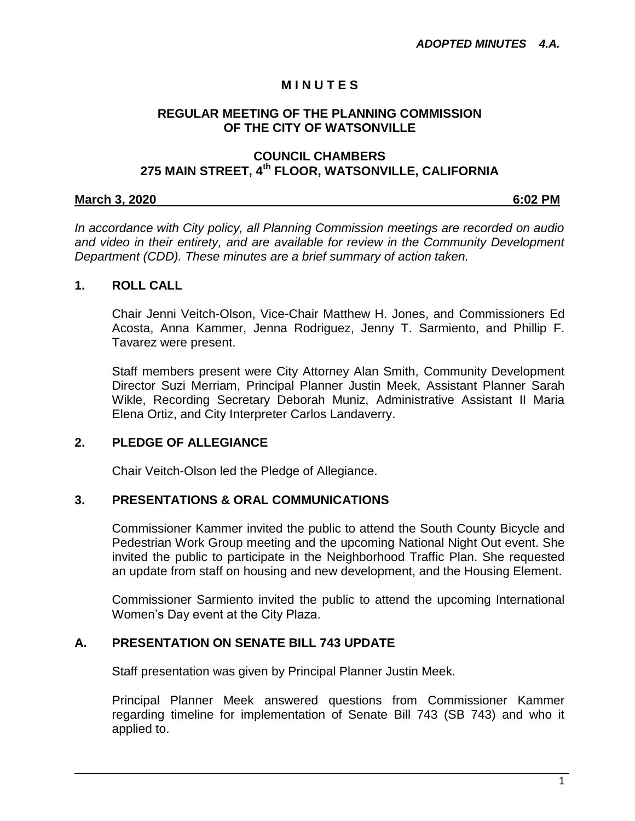# **M I N U T E S**

## **REGULAR MEETING OF THE PLANNING COMMISSION OF THE CITY OF WATSONVILLE**

#### **COUNCIL CHAMBERS 275 MAIN STREET, 4th FLOOR, WATSONVILLE, CALIFORNIA**

#### **March 3, 2020 6:02 PM**

*In accordance with City policy, all Planning Commission meetings are recorded on audio and video in their entirety, and are available for review in the Community Development Department (CDD). These minutes are a brief summary of action taken.*

## **1. ROLL CALL**

Chair Jenni Veitch-Olson, Vice-Chair Matthew H. Jones, and Commissioners Ed Acosta, Anna Kammer, Jenna Rodriguez, Jenny T. Sarmiento, and Phillip F. Tavarez were present.

Staff members present were City Attorney Alan Smith, Community Development Director Suzi Merriam, Principal Planner Justin Meek, Assistant Planner Sarah Wikle, Recording Secretary Deborah Muniz, Administrative Assistant II Maria Elena Ortiz, and City Interpreter Carlos Landaverry.

## **2. PLEDGE OF ALLEGIANCE**

Chair Veitch-Olson led the Pledge of Allegiance.

## **3. PRESENTATIONS & ORAL COMMUNICATIONS**

Commissioner Kammer invited the public to attend the South County Bicycle and Pedestrian Work Group meeting and the upcoming National Night Out event. She invited the public to participate in the Neighborhood Traffic Plan. She requested an update from staff on housing and new development, and the Housing Element.

Commissioner Sarmiento invited the public to attend the upcoming International Women's Day event at the City Plaza.

## **A. PRESENTATION ON SENATE BILL 743 UPDATE**

Staff presentation was given by Principal Planner Justin Meek.

Principal Planner Meek answered questions from Commissioner Kammer regarding timeline for implementation of Senate Bill 743 (SB 743) and who it applied to.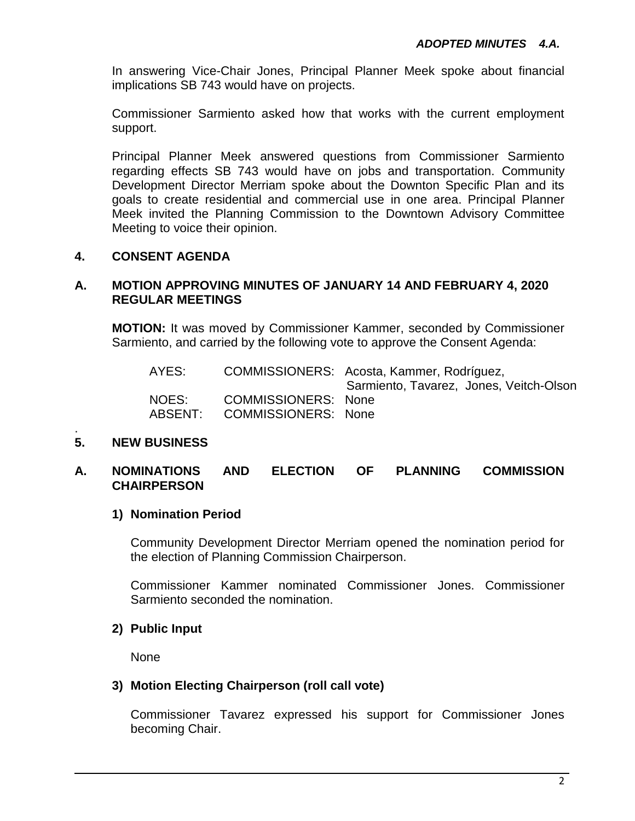In answering Vice-Chair Jones, Principal Planner Meek spoke about financial implications SB 743 would have on projects.

Commissioner Sarmiento asked how that works with the current employment support.

Principal Planner Meek answered questions from Commissioner Sarmiento regarding effects SB 743 would have on jobs and transportation. Community Development Director Merriam spoke about the Downton Specific Plan and its goals to create residential and commercial use in one area. Principal Planner Meek invited the Planning Commission to the Downtown Advisory Committee Meeting to voice their opinion.

## **4. CONSENT AGENDA**

#### **A. MOTION APPROVING MINUTES OF JANUARY 14 AND FEBRUARY 4, 2020 REGULAR MEETINGS**

**MOTION:** It was moved by Commissioner Kammer, seconded by Commissioner Sarmiento, and carried by the following vote to approve the Consent Agenda:

| AYES:   |                            | COMMISSIONERS: Acosta, Kammer, Rodríguez, |  |
|---------|----------------------------|-------------------------------------------|--|
|         |                            | Sarmiento, Tavarez, Jones, Veitch-Olson   |  |
| NOES:   | <b>COMMISSIONERS: None</b> |                                           |  |
| ABSENT: | <b>COMMISSIONERS: None</b> |                                           |  |

#### . **5. NEW BUSINESS**

#### **A. NOMINATIONS AND ELECTION OF PLANNING COMMISSION CHAIRPERSON**

#### **1) Nomination Period**

Community Development Director Merriam opened the nomination period for the election of Planning Commission Chairperson.

Commissioner Kammer nominated Commissioner Jones. Commissioner Sarmiento seconded the nomination.

#### **2) Public Input**

None

#### **3) Motion Electing Chairperson (roll call vote)**

Commissioner Tavarez expressed his support for Commissioner Jones becoming Chair.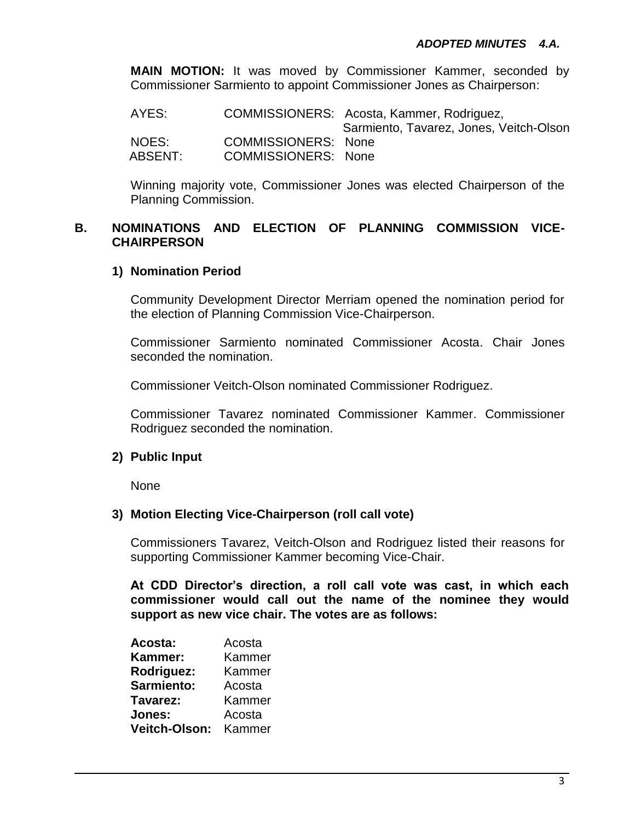**MAIN MOTION:** It was moved by Commissioner Kammer, seconded by Commissioner Sarmiento to appoint Commissioner Jones as Chairperson:

| AYES:   |                            | COMMISSIONERS: Acosta, Kammer, Rodriguez,<br>Sarmiento, Tavarez, Jones, Veitch-Olson |
|---------|----------------------------|--------------------------------------------------------------------------------------|
| NOES:   | <b>COMMISSIONERS: None</b> |                                                                                      |
| ABSENT: | <b>COMMISSIONERS: None</b> |                                                                                      |

Winning majority vote, Commissioner Jones was elected Chairperson of the Planning Commission.

#### **B. NOMINATIONS AND ELECTION OF PLANNING COMMISSION VICE-CHAIRPERSON**

## **1) Nomination Period**

Community Development Director Merriam opened the nomination period for the election of Planning Commission Vice-Chairperson.

Commissioner Sarmiento nominated Commissioner Acosta. Chair Jones seconded the nomination.

Commissioner Veitch-Olson nominated Commissioner Rodriguez.

Commissioner Tavarez nominated Commissioner Kammer. Commissioner Rodriguez seconded the nomination.

## **2) Public Input**

**None** 

## **3) Motion Electing Vice-Chairperson (roll call vote)**

Commissioners Tavarez, Veitch-Olson and Rodriguez listed their reasons for supporting Commissioner Kammer becoming Vice-Chair.

**At CDD Director's direction, a roll call vote was cast, in which each commissioner would call out the name of the nominee they would support as new vice chair. The votes are as follows:**

| <b>Acosta:</b>       | Acosta |
|----------------------|--------|
| Kammer:              | Kammer |
| Rodriguez:           | Kammer |
| Sarmiento:           | Acosta |
| Tavarez:             | Kammer |
| Jones:               | Acosta |
| <b>Veitch-Olson:</b> | Kammer |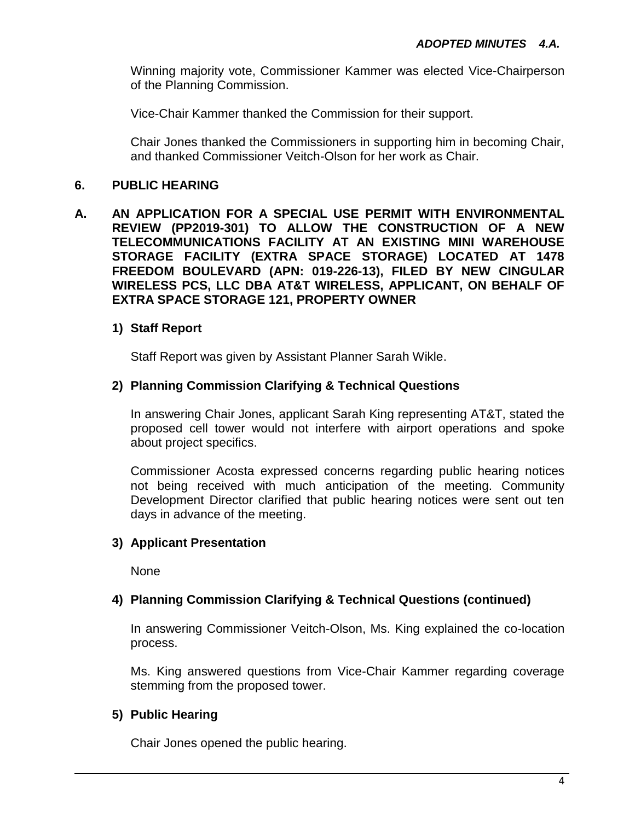Winning majority vote, Commissioner Kammer was elected Vice-Chairperson of the Planning Commission.

Vice-Chair Kammer thanked the Commission for their support.

Chair Jones thanked the Commissioners in supporting him in becoming Chair, and thanked Commissioner Veitch-Olson for her work as Chair.

## **6. PUBLIC HEARING**

**A. AN APPLICATION FOR A SPECIAL USE PERMIT WITH ENVIRONMENTAL REVIEW (PP2019-301) TO ALLOW THE CONSTRUCTION OF A NEW TELECOMMUNICATIONS FACILITY AT AN EXISTING MINI WAREHOUSE STORAGE FACILITY (EXTRA SPACE STORAGE) LOCATED AT 1478 FREEDOM BOULEVARD (APN: 019-226-13), FILED BY NEW CINGULAR WIRELESS PCS, LLC DBA AT&T WIRELESS, APPLICANT, ON BEHALF OF EXTRA SPACE STORAGE 121, PROPERTY OWNER**

## **1) Staff Report**

Staff Report was given by Assistant Planner Sarah Wikle.

## **2) Planning Commission Clarifying & Technical Questions**

In answering Chair Jones, applicant Sarah King representing AT&T, stated the proposed cell tower would not interfere with airport operations and spoke about project specifics.

Commissioner Acosta expressed concerns regarding public hearing notices not being received with much anticipation of the meeting. Community Development Director clarified that public hearing notices were sent out ten days in advance of the meeting.

## **3) Applicant Presentation**

None

## **4) Planning Commission Clarifying & Technical Questions (continued)**

In answering Commissioner Veitch-Olson, Ms. King explained the co-location process.

Ms. King answered questions from Vice-Chair Kammer regarding coverage stemming from the proposed tower.

## **5) Public Hearing**

Chair Jones opened the public hearing.